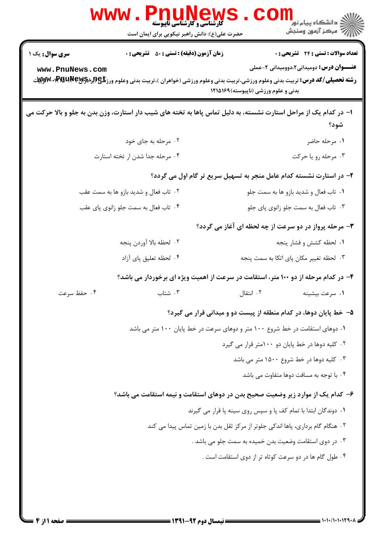| <b>www.Pnunew</b><br>حضرت علی(ع): دانش راهبر نیکویی برای ایمان است                              | ر دانشگاه پيام نور ■<br>// مرکز آزمون وسنجش<br><b>کارشناسی و کارشناسی ناپیوسته</b>                                                                                                                                                                                                  |
|-------------------------------------------------------------------------------------------------|-------------------------------------------------------------------------------------------------------------------------------------------------------------------------------------------------------------------------------------------------------------------------------------|
| <b>زمان آزمون (دقیقه) : تستی : 50 ٪ تشریحی : 0</b><br><b>سری سوال :</b> یک ۱<br>www.PnuNews.com | تعداد سوالات : تستى : 24 - تشريحي : 0<br><b>عنـــوان درس:</b> دومیدانی2،دوومیدانی 2-عملی<br><b>رشته تحصیلی/کد درس:</b> تربیت بدنی وعلوم ورزشی،تربیت بدنی وعلوم ورزشی (خواهران )،تربیت بدنی وعلوم ورز <b>شگی(لبرادPMUN</b> ey۱Ş۶)۰۰۷ کلابلیت<br>بدنی و علوم ورزشی (ناپیوسته) ۱۲۱۵۱۶۹ |
|                                                                                                 | ۱– در کدام یک از مراحل استارت نشسته، به دلیل تماس پاها به تخته های شیب دار استارت، وزن بدن به جلو و بالا حرکت می<br>شود؟                                                                                                                                                            |
| ۰۲ مرحله به جای خود                                                                             | ۰۱ مرحله حاضر                                                                                                                                                                                                                                                                       |
| ۰۴ مرحله جدا شدن ار تخته استارت                                                                 | ۰۳ مرحله رو یا حرکت                                                                                                                                                                                                                                                                 |
|                                                                                                 | ۲- در استارت نشسته کدام عامل منجر به تسهیل سریع تر گام اول می گردد؟                                                                                                                                                                                                                 |
| ۰۲ تاب فعال و شدید بازو ها به سمت عقب                                                           | ۰۱ تاب فعال و شدید بازو ها به سمت جلو                                                                                                                                                                                                                                               |
| ۰۴ تاب فعال به سمت جلو زانوی پای عقب                                                            | ۰۳ تاب فعال به سمت جلو زانوی پای جلو                                                                                                                                                                                                                                                |
|                                                                                                 | ۳- مرحله پرواز در دو سرعت از چه لحظه ای آغاز می گردد؟                                                                                                                                                                                                                               |
| ٢. لحظه بالا أوردن پنجه                                                                         | ٠١. لحظه كشش و فشار پنجه                                                                                                                                                                                                                                                            |
| ۰۴ لحظه تعليق پاي آزاد                                                                          | ۰۳ لحظه تغییر مکان پای اتکا به سمت پنجه                                                                                                                                                                                                                                             |
|                                                                                                 | ۴– در کدام مرحله از دو ۱۰۰ متر، استقامت در سرعت از اهمیت ویژه ای برخوردار می باشد؟                                                                                                                                                                                                  |
| ۰۴ حفظ سرعت<br>۰۳ شتاب                                                                          | ۰۲ انتقال<br>٠١. سرعت بيشينه                                                                                                                                                                                                                                                        |
|                                                                                                 | ۵– خط پایان دوها، در کدام منطقه از پیست دو و میدانی قرار می گیرد؟                                                                                                                                                                                                                   |
|                                                                                                 | ۰۱ دوهای استقامت در خط شروع ۱۰۰ متر و دوهای سرعت در خط پایان ۱۰۰ متر می باشد                                                                                                                                                                                                        |
|                                                                                                 | ۰۲ کلیه دوها در خط پایان دو ۱۰۰متر قرار می گیرد                                                                                                                                                                                                                                     |
|                                                                                                 | ۰۳ کلیه دوها در خط شروع ۱۵۰۰ متر می باشد                                                                                                                                                                                                                                            |
|                                                                                                 | ۰۴ با توجه به مسافت دوها متفاوت می باشد                                                                                                                                                                                                                                             |
|                                                                                                 | ۶– کدام یک از موارد زیر وضعیت صحیح بدن در دوهای استقامت و نیمه استقامت می باشد؟                                                                                                                                                                                                     |
|                                                                                                 | ۰۱ دوندگان ابتدا با تمام کف پا و سپس روی سینه پا قرار می گیرند                                                                                                                                                                                                                      |
|                                                                                                 | ۰۲ هنگام گام برداری، پاها اندکی جلوتر از مرکز ثقل بدن با زمین تماس پیدا می کند                                                                                                                                                                                                      |
|                                                                                                 | ۰۳ در دوی استقامت وضعیت بدن خمیده به سمت جلو می باشد .                                                                                                                                                                                                                              |
|                                                                                                 | ۰۴ طول گام ها در دو سرعت کوتاه تر از دوی استقامت است .                                                                                                                                                                                                                              |
|                                                                                                 |                                                                                                                                                                                                                                                                                     |

**DESIMATE**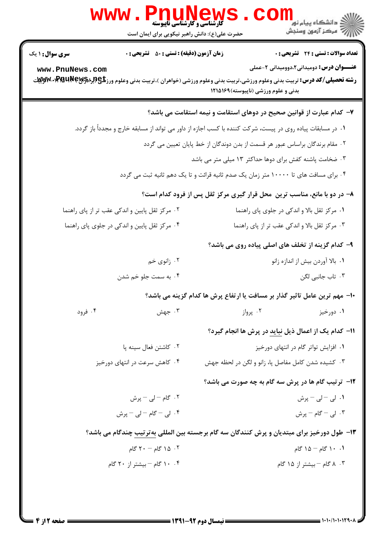|                                                                              | <b>WWW.PNUNews</b><br><b>گارشناسی و کارشناسی ناپیوسته</b><br>حضرت علی(ع): دانش راهبر نیکویی برای ایمان است |                                      | ڪ دانشڪاه پيا <sub>م</sub> نور ■<br>/> مرڪز آزمون وسنجش                                                                                                                                        |
|------------------------------------------------------------------------------|------------------------------------------------------------------------------------------------------------|--------------------------------------|------------------------------------------------------------------------------------------------------------------------------------------------------------------------------------------------|
| <b>سری سوال : ۱ یک</b>                                                       | <b>زمان آزمون (دقیقه) : تستی : 50 ٪ تشریحی : 0</b>                                                         |                                      | <b>تعداد سوالات : تستی : 24 ۔ تشریحی : 0</b>                                                                                                                                                   |
| www.PnuNews.com                                                              |                                                                                                            | بدنی و علوم ورزشی (ناپیوسته) ۱۲۱۵۱۶۹ | <b>عنـــوان درس:</b> دومیدانی2،دوومیدانی 2-عملی<br><b>رشته تحصیلی/کد درس:</b> تربیت بدنی وعلوم ورزشی،تربیت بدنی وعلوم ورزشی (خواهران )،تربیت بدنی وعلوم ورز <b>شگی(لبرادPMUN</b> ey۱Ş۶ کاپلایت |
|                                                                              |                                                                                                            |                                      | ۷– کدام عبارت از قوانین صحیح در دوهای استقامت و نیمه استقامت می باشد؟                                                                                                                          |
|                                                                              |                                                                                                            |                                      | ۰۱ در مسابقات پیاده روی در پیست، شرکت کننده با کسب اجازه از داور می تواند از مسابقه خارج و مجدداً باز گردد.                                                                                    |
| ۰۲ مقام برندگان براساس عبور هر قسمت از بدن دوندگان از خط پایان تعیین می گردد |                                                                                                            |                                      |                                                                                                                                                                                                |
| ۰۳ ضخامت پاشنه کفش برای دوها حداکثر ۱۳ میلی متر می باشد                      |                                                                                                            |                                      |                                                                                                                                                                                                |
|                                                                              |                                                                                                            |                                      | ۰۴ برای مسافت های تا ۱۰۰۰۰ متر زمان یک صدم ثانیه قرائت و تا یک دهم ثانیه ثبت می گردد                                                                                                           |
|                                                                              |                                                                                                            |                                      | ۸- در دو با مانع، مناسب ترین ًمحل قرار گیری مرکز ثقل پس از فرود کدام است؟                                                                                                                      |
|                                                                              | ۰۲ مرکز ثقل پایین و اندکی عقب تر از پای راهنما                                                             |                                      | ۰۱ مرکز ثقل بالا و اندکی در جلوی پای راهنما                                                                                                                                                    |
|                                                                              | ۰۴ مرکز ثقل پایین و اندکی در جلوی پای راهنما                                                               |                                      | ۰۳ مرکز ثقل بالا و اندکی عقب تر از پای راهنما                                                                                                                                                  |
|                                                                              |                                                                                                            |                                      | ۹- کدام گزینه از تخلف های اصلی پیاده روی می باشد؟                                                                                                                                              |
|                                                                              | ۰۲ زانوي خم                                                                                                |                                      | ۰۱ بالا آوردن بیش از اندازه زانو                                                                                                                                                               |
|                                                                              | ۰۴ به سمت جلو خم شدن                                                                                       | ۰۳ تاب جانبی لگن                     |                                                                                                                                                                                                |
|                                                                              |                                                                                                            |                                      | ∙ا− مهم ترین عامل تاثیر گذار بر مسافت یا ارتفاع پرش ها کدام گزینه می باشد؟                                                                                                                     |
| ۰۴ فرود                                                                      | ۰۳ جهش                                                                                                     | ۰۲ پرواز                             | ۰۱ دورخیز                                                                                                                                                                                      |
|                                                                              |                                                                                                            |                                      | 11- كدام يك از اعمال ذيل نبايد در پرش ها انجام گيرد؟                                                                                                                                           |
|                                                                              | ۰۲ کاشتن فعال سینه پا                                                                                      | ۰۱ افزایش تواتر گام در انتهای دورخیز |                                                                                                                                                                                                |
|                                                                              | ۰۴ کاهش سرعت در انتهای دورخیز                                                                              |                                      | ۰۳ کشیده شدن کامل مفاصل پا، زانو و لگن در لحظه جهش                                                                                                                                             |
|                                                                              |                                                                                                            |                                      | <b>۱۲</b> - ترتیب گام ها در پرش سه گام به چه صورت می باشد؟                                                                                                                                     |
|                                                                              | ۰۲ گام – لی – پرش                                                                                          |                                      | ۰۱ لی – لی – پرش                                                                                                                                                                               |
|                                                                              | ۰۴ لی – گام – لی – پرش                                                                                     |                                      | ۰۳ لی – گام – پرش                                                                                                                                                                              |
|                                                                              |                                                                                                            |                                      | ۱۳- طول دورخیز برای مبتدیان و پرش کنندگان سه گام برجسته بین المللی بهترتیب چندگام می باشد؟                                                                                                     |
|                                                                              | ۰۲ ۱۵ گام - ۲۰ گام                                                                                         |                                      | ۰.۱ کام – ۱۵ گام                                                                                                                                                                               |
|                                                                              | ۰۴ ۱۰ گام – بیشتر از ۲۰ گام                                                                                |                                      | ۰۳ ۸ گام – بیشتر از ۱۵ گام                                                                                                                                                                     |
|                                                                              |                                                                                                            |                                      |                                                                                                                                                                                                |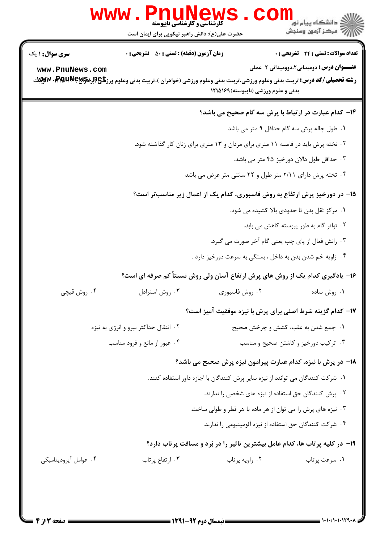|                                                                                                                                                                       | www.PnuNews<br><b>گارشناسی و کارشناسی ناپیوسته</b><br>حضرت علی(ع): دانش راهبر نیکویی برای ایمان است |                                                                                   |                                                 |
|-----------------------------------------------------------------------------------------------------------------------------------------------------------------------|-----------------------------------------------------------------------------------------------------|-----------------------------------------------------------------------------------|-------------------------------------------------|
| <b>سری سوال :</b> ۱ یک                                                                                                                                                | <b>زمان آزمون (دقیقه) : تستی : 50 ٪ تشریحی : 0</b>                                                  |                                                                                   | <b>تعداد سوالات : تستی : 24 ۔ تشریحی : 0</b>    |
| www.PnuNews.com<br><b>رشته تحصیلی/کد درس:</b> تربیت بدنی وعلوم ورزشی،تربیت بدنی وعلوم ورزشی (خواهران )،تربیت بدنی وعلوم ورز <b>شگی(لبرادPMUNew</b> S م <b>ـ PWW</b> ، |                                                                                                     | بدنی و علوم ورزشی (ناپیوسته) ۱۲۱۵۱۶۹                                              | <b>عنـــوان درس:</b> دومیدانی۲،دوومیدانی ۲-عملی |
|                                                                                                                                                                       |                                                                                                     | ۱۴– کدام عبارت در ارتباط با پرش سه گام صحیح می باشد؟                              |                                                 |
|                                                                                                                                                                       |                                                                                                     |                                                                                   | ۰۱ طول چاله پرش سه گام حداقل ۹ متر می باشد      |
|                                                                                                                                                                       |                                                                                                     | ۲ . تخته پرش باید در فاصله ۱۱ متری برای مردان و ۱۳ متری برای زنان کار گذاشته شود. |                                                 |
| ۰۳ حداقل طول دالان دورخیز ۴۵ متر می باشد.                                                                                                                             |                                                                                                     |                                                                                   |                                                 |
|                                                                                                                                                                       |                                                                                                     | ۰۴ تخته پرش دارای ۲/۱۱ متر طول و ۲۲ سانتی متر عرض می باشد                         |                                                 |
|                                                                                                                                                                       |                                                                                                     | ۱۵– در دورخیز پرش ارتفاع به روش فاسبوری، کدام یک از اعمال زیر مناسبتر است؟        |                                                 |
|                                                                                                                                                                       |                                                                                                     |                                                                                   | ۰۱ مرکز ثقل بدن تا حدودی بالا کشیده می شود.     |
|                                                                                                                                                                       |                                                                                                     |                                                                                   | ۰۲ تواتر گام به طور پیوسته کاهش می بابد.        |
|                                                                                                                                                                       |                                                                                                     | ۰۳ رانش فعال از پای چپ یعنی گام آخر صورت می گیرد.                                 |                                                 |
|                                                                                                                                                                       |                                                                                                     | ۰۴ زاویه خم شدن بدن به داخل ، بستگی به سرعت دورخیز دارد .                         |                                                 |
|                                                                                                                                                                       | ۱۶- یادگیری کدام یک از روش های پرش ارتفاع آسان ولی روش نسبتاً کم صرفه ای است؟                       |                                                                                   |                                                 |
| ۰۴ روش قیچی                                                                                                                                                           |                                                                                                     | ۰۲ روش فاسبوری سیسترادل ۴۰ سترادل .                                               | ۰۱ روش ساده                                     |
|                                                                                                                                                                       |                                                                                                     | <b>۱۷</b> – کدام گزینه شرط اصلی برای پرش با نیزه موفقیت آمیز است؟                 |                                                 |
|                                                                                                                                                                       | ۰۲ انتقال حداکثر نیرو و انرژی به نیزه                                                               |                                                                                   | ۰۱ جمع شدن به عقب، کشش و چرخش صحیح              |
|                                                                                                                                                                       | ۰۴ عبور از مانع و فرود مناسب                                                                        |                                                                                   | ۰۳ ترکیب دورخیز و کاشتن صحیح و مناسب            |
|                                                                                                                                                                       |                                                                                                     | 18- در پرش با نیزه، کدام عبارت پیرامون نیزه پرش صحیح می باشد؟                     |                                                 |
|                                                                                                                                                                       |                                                                                                     | ۰۱ شرکت کنندگان می توانند از نیزه سایر پرش کنندگان با اجازه داور استفاده کنند.    |                                                 |
|                                                                                                                                                                       |                                                                                                     | ۰۲ پرش کنندگان حق استفاده از نیزه های شخصی را ندارند.                             |                                                 |
|                                                                                                                                                                       |                                                                                                     | ۰۳ نیزه های پرش را می توان از هر ماده با هر قطر و طولی ساخت.                      |                                                 |
|                                                                                                                                                                       |                                                                                                     | ۰۴ شرکت کنندگان حق استفاده از نیزه آلومینیومی را ندارند.                          |                                                 |
|                                                                                                                                                                       |                                                                                                     | ۱۹- در کلیه پرتاب ها، کدام عامل بیشترین تاثیر را در بُرد و مسافت پرتاب دارد؟      |                                                 |
| ۰۴ عوامل آيروديناميكي                                                                                                                                                 | ۰۳ ارتفاع پرتاب                                                                                     | ۰۲ زاويه پرتاب                                                                    | ۰۱ سرعت پرتاب                                   |